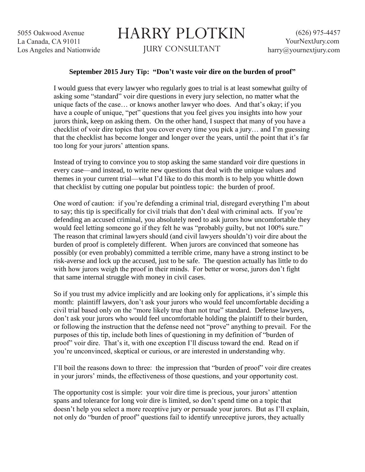5055 Oakwood Avenue La Canada, CA 91011 Los Angeles and Nationwide

## HARRY PLOTKIN JURY CONSULTANT

## **September 2015 Jury Tip: "Don't waste voir dire on the burden of proof"**

I would guess that every lawyer who regularly goes to trial is at least somewhat guilty of asking some "standard" voir dire questions in every jury selection, no matter what the unique facts of the case… or knows another lawyer who does. And that's okay; if you have a couple of unique, "pet" questions that you feel gives you insights into how your jurors think, keep on asking them. On the other hand, I suspect that many of you have a checklist of voir dire topics that you cover every time you pick a jury… and I'm guessing that the checklist has become longer and longer over the years, until the point that it's far too long for your jurors' attention spans.

Instead of trying to convince you to stop asking the same standard voir dire questions in every case—and instead, to write new questions that deal with the unique values and themes in your current trial—what I'd like to do this month is to help you whittle down that checklist by cutting one popular but pointless topic: the burden of proof.

One word of caution: if you're defending a criminal trial, disregard everything I'm about to say; this tip is specifically for civil trials that don't deal with criminal acts. If you're defending an accused criminal, you absolutely need to ask jurors how uncomfortable they would feel letting someone go if they felt he was "probably guilty, but not 100% sure." The reason that criminal lawyers should (and civil lawyers shouldn't) voir dire about the burden of proof is completely different. When jurors are convinced that someone has possibly (or even probably) committed a terrible crime, many have a strong instinct to be risk-averse and lock up the accused, just to be safe. The question actually has little to do with how jurors weigh the proof in their minds. For better or worse, jurors don't fight that same internal struggle with money in civil cases.

So if you trust my advice implicitly and are looking only for applications, it's simple this month: plaintiff lawyers, don't ask your jurors who would feel uncomfortable deciding a civil trial based only on the "more likely true than not true" standard. Defense lawyers, don't ask your jurors who would feel uncomfortable holding the plaintiff to their burden, or following the instruction that the defense need not "prove" anything to prevail. For the purposes of this tip, include both lines of questioning in my definition of "burden of proof" voir dire. That's it, with one exception I'll discuss toward the end. Read on if you're unconvinced, skeptical or curious, or are interested in understanding why.

I'll boil the reasons down to three: the impression that "burden of proof" voir dire creates in your jurors' minds, the effectiveness of those questions, and your opportunity cost.

The opportunity cost is simple: your voir dire time is precious, your jurors' attention spans and tolerance for long voir dire is limited, so don't spend time on a topic that doesn't help you select a more receptive jury or persuade your jurors. But as I'll explain, not only do "burden of proof" questions fail to identify unreceptive jurors, they actually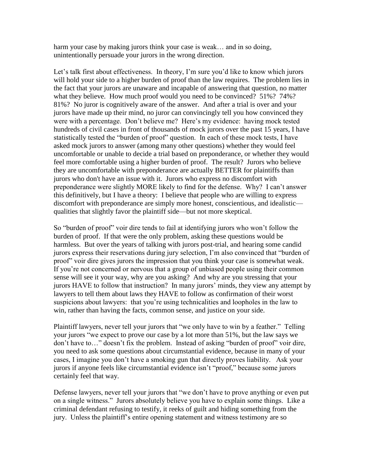harm your case by making jurors think your case is weak... and in so doing, unintentionally persuade your jurors in the wrong direction.

Let's talk first about effectiveness. In theory, I'm sure you'd like to know which jurors will hold your side to a higher burden of proof than the law requires. The problem lies in the fact that your jurors are unaware and incapable of answering that question, no matter what they believe. How much proof would you need to be convinced? 51%? 74%? 81%? No juror is cognitively aware of the answer. And after a trial is over and your jurors have made up their mind, no juror can convincingly tell you how convinced they were with a percentage. Don't believe me? Here's my evidence: having mock tested hundreds of civil cases in front of thousands of mock jurors over the past 15 years, I have statistically tested the "burden of proof" question. In each of these mock tests, I have asked mock jurors to answer (among many other questions) whether they would feel uncomfortable or unable to decide a trial based on preponderance, or whether they would feel more comfortable using a higher burden of proof. The result? Jurors who believe they are uncomfortable with preponderance are actually BETTER for plaintiffs than jurors who don't have an issue with it. Jurors who express no discomfort with preponderance were slightly MORE likely to find for the defense. Why? I can't answer this definitively, but I have a theory: I believe that people who are willing to express discomfort with preponderance are simply more honest, conscientious, and idealistic qualities that slightly favor the plaintiff side—but not more skeptical.

So "burden of proof" voir dire tends to fail at identifying jurors who won't follow the burden of proof. If that were the only problem, asking these questions would be harmless. But over the years of talking with jurors post-trial, and hearing some candid jurors express their reservations during jury selection, I'm also convinced that "burden of proof" voir dire gives jurors the impression that you think your case is somewhat weak. If you're not concerned or nervous that a group of unbiased people using their common sense will see it your way, why are you asking? And why are you stressing that your jurors HAVE to follow that instruction? In many jurors' minds, they view any attempt by lawyers to tell them about laws they HAVE to follow as confirmation of their worst suspicions about lawyers: that you're using technicalities and loopholes in the law to win, rather than having the facts, common sense, and justice on your side.

Plaintiff lawyers, never tell your jurors that "we only have to win by a feather." Telling your jurors "we expect to prove our case by a lot more than 51%, but the law says we don't have to…" doesn't fix the problem. Instead of asking "burden of proof" voir dire, you need to ask some questions about circumstantial evidence, because in many of your cases, I imagine you don't have a smoking gun that directly proves liability. Ask your jurors if anyone feels like circumstantial evidence isn't "proof," because some jurors certainly feel that way.

Defense lawyers, never tell your jurors that "we don't have to prove anything or even put on a single witness." Jurors absolutely believe you have to explain some things. Like a criminal defendant refusing to testify, it reeks of guilt and hiding something from the jury. Unless the plaintiff's entire opening statement and witness testimony are so